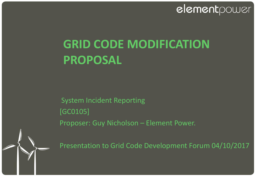### elementpower

# **GRID CODE MODIFICATION PROPOSAL**

System Incident Reporting [GC0105] Proposer: Guy Nicholson – Element Power.

Presentation to Grid Code Development Forum 04/10/2017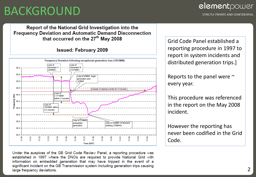## BACKGROUND

#### Report of the National Grid Investigation into the **Frequency Deviation and Automatic Demand Disconnection** that occurred on the 27<sup>th</sup> May 2008

#### **Issued: February 2009**



Under the auspices of the GB Grid Code Review Panel, a reporting procedure was established in 1997 where the DNOs are required to provide National Grid with information on embedded generation that may have tripped in the event of a significant incident on the GB Transmission system including generation trips causing large frequency deviations.

Grid Code Panel established a reporting procedure in 1997 to report in system incidents and distributed generation trips.]

Reports to the panel were  $\sim$ every year.

This procedure was referenced in the report on the May 2008 incident.

However the reporting has never been codified in the Grid Code.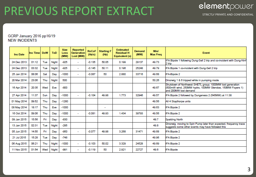## PREVIOUS REPORT EXTRACT

STRICTLY PRIVATE AND CONFIDENTIAL

#### GCRP January 2016 pp16/19 **NEW INCIDENTS**

| <b>Inc Date</b> | <b>Inc Timel</b> | <b>DoW</b> | <b>ToD</b> | <b>Size</b><br>Loss<br>(MW) | <b>Reported</b><br><b>Generation</b><br>Lost (MW) | <b>RoCoF</b><br>(Hz/s) | <b>Starting F</b><br>(Hz) | <b>Estimated</b><br><b>Residual H</b><br>Equivalent (s) | <b>Demand</b><br>(MW) | <b>Min/</b><br><b>Max Freq</b> | Event                                                                                                                                          |
|-----------------|------------------|------------|------------|-----------------------------|---------------------------------------------------|------------------------|---------------------------|---------------------------------------------------------|-----------------------|--------------------------------|------------------------------------------------------------------------------------------------------------------------------------------------|
| 24 Dec 2013     | 01:12            | Tue        | Night      | $-925$                      | $\overline{\phantom{0}}$                          | $-0.135$               | 50.05                     | 0.199                                                   | 29137                 | 49.73                          | IFA Bipole 1 following Dung-Sell 2 trip and co-incident with Dung-Ninf<br>2 trip                                                               |
| 24 Dec 2013     | 03:32            | Tue        | Night      | $-925$                      | $\overline{\phantom{a}}$                          | $-0.145$               | 50.11                     | 0.196                                                   | 25248                 | 49.79                          | IFA Bipole 1 co-incident with Dung-Sell 2 trip                                                                                                 |
| 25 Jan 2014     | 08:06            | Sat        | Day        | $-1000$                     | $\overline{\phantom{0}}$                          | $-0.087$               | 50                        | 2.880                                                   | 33716                 | 49.68                          | IFA-Bipole 2                                                                                                                                   |
| 20 Mar 2014     | 23:06            | Thu        | Night      | 500                         |                                                   |                        |                           |                                                         |                       | 50.26                          | Dinorwig 1 & 6 tripped while in pumping mode                                                                                                   |
| 16 Apr 2014     | 20:35            | Wed        | Eve        | $-800$                      |                                                   |                        |                           |                                                         |                       | 49.67                          | Shutdown of Northwest SHETL group; 1000MW lost generation<br>(500mW wind, 250MW hydro, 100MW Glendoe, 150MW Foyers 1)<br>and 200MW lost demand |
| 27 Apr 2014     | 11:37            | Sun        | Day        | $-1000$                     | $\overline{\phantom{a}}$                          | $-0.104$               | 49.98                     | 1.773                                                   | 32946                 | 49.57                          | IFA Bipole 2 followed by Dungeness 2 (545MW) at 11:38                                                                                          |
| 01 May 2014     | 09:52            | Thu        | Day        | $-1280$                     |                                                   |                        |                           |                                                         |                       | 49.56                          | All 4 Staythorpe units                                                                                                                         |
| 08 May 2014     | 18:17            | Thu        | Eve        | $-1000$                     |                                                   |                        | $\overline{\phantom{a}}$  |                                                         |                       | 49.63                          | <b>IFA Bipole 2</b>                                                                                                                            |
| 16 Oct 2014     | 09:06            | Thu        | Day        | $-1000$                     | $\overline{\phantom{0}}$                          | $-0.081$               | 49.93                     | 1.434                                                   | 39793                 | 49.56                          | <b>IFA Bipole 2</b>                                                                                                                            |
| 09 Jan 2015     | 15:56            | Fri        | Day        | $-830$                      |                                                   |                        |                           |                                                         |                       | 49.7                           | Spalding North                                                                                                                                 |
| 13 Jan 2015     | 02:31            | Tue        | Night      | $-285$                      |                                                   |                        |                           |                                                         |                       | 49.8                           | Dinorwig moving to Spin Pump later than expected, frequency trace<br>suggests some other events may have followed this                         |
| 05 Jun 2015     | 14:55            | Fri        | Day        | -950                        | $\overline{\phantom{0}}$                          | $-0.077$               | 49.98                     | 3.268                                                   | 31471                 | 49.68                          | IFA Bipole 2                                                                                                                                   |
| 21 Jul 2015     | 15:28            | Tue        | Day        | $-748$                      |                                                   |                        |                           |                                                         |                       | 49.96                          | <b>IFA Bipole 2</b>                                                                                                                            |
| 06 Aug 2015     | 06:21            | Thu        | Night      | $-1000$                     | $\overline{\phantom{0}}$                          | $-0.103$               | 50.02                     | 3.329                                                   | 24528                 | 49.69                          | <b>IFA Bipole 2</b>                                                                                                                            |
| 11 Nov 2015     | 01:54            | Wed        | Night      | -991                        | $\overline{\phantom{a}}$                          | $-0.119$               | 50                        | 2.921                                                   | 22727                 | 49.6                           | <b>IFA Bipole</b>                                                                                                                              |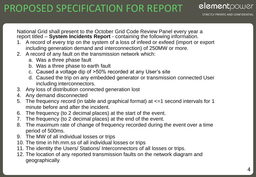### PROPOSED SPECIFICATION FOR REPORT

**STRICTLY PRIVATE AND CONFIDENTIAL** 

elementpower

National Grid shall present to the October Grid Code Review Panel every year a report titled – **System Incidents Report** - containing the following information.

- 1. A record of every trip on the system of a loss of infeed or exfeed (import or export including generation demand and interconnection) of 250MW or more.
- 2. A record of any fault on the transmission network which:
	- a. Was a three phase fault
	- b. Was a three phase to earth fault
	- c. Caused a voltage dip of >50% recorded at any User's site
	- d. Caused the trip on any embedded generator or transmission connected User including interconnectors.
- 3. Any loss of distribution connected generation lost
- 4. Any demand disconnected
- 5. The frequency record (in table and graphical format) at  $\leq$ =1 second intervals for 1 minute before and after the incident.
- 6. The frequency (to 2 decimal places) at the start of the event.
- 7. The frequency (to 2 decimal places) at the end of the event.
- 8. The maximum rate of change of frequency recorded during the event over a time period of 500ms.
- 9. The MW of all individual losses or trips
- 10. The time in hh.mm.ss of all individual losses or trips
- 11. The identity the Users/ Stations/ Interconnectors of all losses or trips.
- 12. The location of any reported transmission faults on the network diagram and geographically.